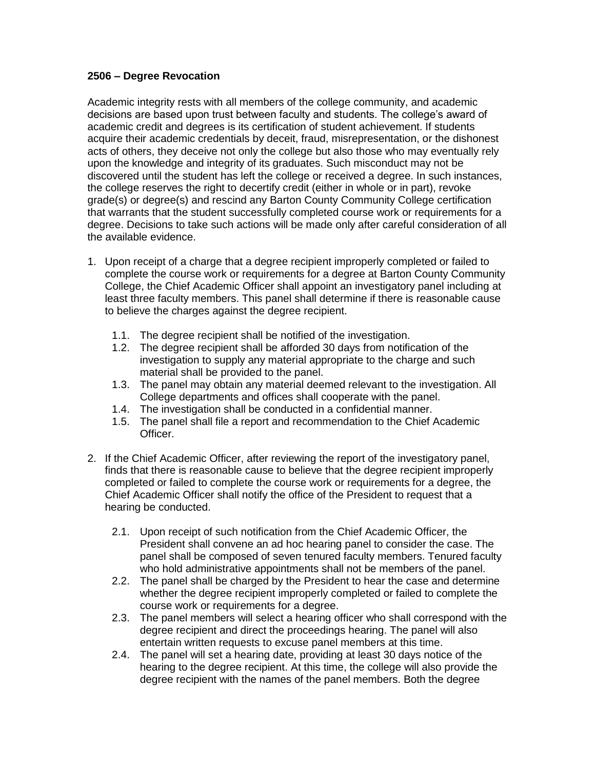## **2506 – Degree Revocation**

Academic integrity rests with all members of the college community, and academic decisions are based upon trust between faculty and students. The college's award of academic credit and degrees is its certification of student achievement. If students acquire their academic credentials by deceit, fraud, misrepresentation, or the dishonest acts of others, they deceive not only the college but also those who may eventually rely upon the knowledge and integrity of its graduates. Such misconduct may not be discovered until the student has left the college or received a degree. In such instances, the college reserves the right to decertify credit (either in whole or in part), revoke grade(s) or degree(s) and rescind any Barton County Community College certification that warrants that the student successfully completed course work or requirements for a degree. Decisions to take such actions will be made only after careful consideration of all the available evidence.

- 1. Upon receipt of a charge that a degree recipient improperly completed or failed to complete the course work or requirements for a degree at Barton County Community College, the Chief Academic Officer shall appoint an investigatory panel including at least three faculty members. This panel shall determine if there is reasonable cause to believe the charges against the degree recipient.
	- 1.1. The degree recipient shall be notified of the investigation.
	- 1.2. The degree recipient shall be afforded 30 days from notification of the investigation to supply any material appropriate to the charge and such material shall be provided to the panel.
	- 1.3. The panel may obtain any material deemed relevant to the investigation. All College departments and offices shall cooperate with the panel.
	- 1.4. The investigation shall be conducted in a confidential manner.
	- 1.5. The panel shall file a report and recommendation to the Chief Academic Officer.
- 2. If the Chief Academic Officer, after reviewing the report of the investigatory panel, finds that there is reasonable cause to believe that the degree recipient improperly completed or failed to complete the course work or requirements for a degree, the Chief Academic Officer shall notify the office of the President to request that a hearing be conducted.
	- 2.1. Upon receipt of such notification from the Chief Academic Officer, the President shall convene an ad hoc hearing panel to consider the case. The panel shall be composed of seven tenured faculty members. Tenured faculty who hold administrative appointments shall not be members of the panel.
	- 2.2. The panel shall be charged by the President to hear the case and determine whether the degree recipient improperly completed or failed to complete the course work or requirements for a degree.
	- 2.3. The panel members will select a hearing officer who shall correspond with the degree recipient and direct the proceedings hearing. The panel will also entertain written requests to excuse panel members at this time.
	- 2.4. The panel will set a hearing date, providing at least 30 days notice of the hearing to the degree recipient. At this time, the college will also provide the degree recipient with the names of the panel members. Both the degree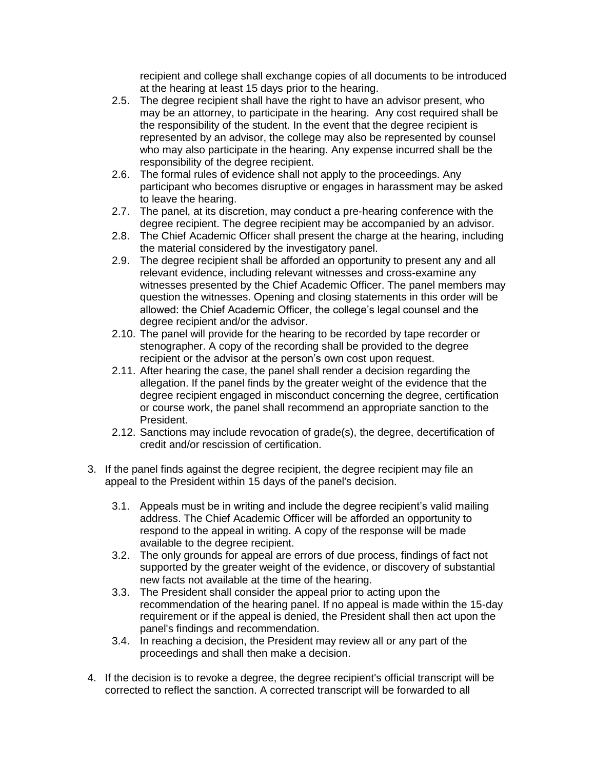recipient and college shall exchange copies of all documents to be introduced at the hearing at least 15 days prior to the hearing.

- 2.5. The degree recipient shall have the right to have an advisor present, who may be an attorney, to participate in the hearing. Any cost required shall be the responsibility of the student. In the event that the degree recipient is represented by an advisor, the college may also be represented by counsel who may also participate in the hearing. Any expense incurred shall be the responsibility of the degree recipient.
- 2.6. The formal rules of evidence shall not apply to the proceedings. Any participant who becomes disruptive or engages in harassment may be asked to leave the hearing.
- 2.7. The panel, at its discretion, may conduct a pre-hearing conference with the degree recipient. The degree recipient may be accompanied by an advisor.
- 2.8. The Chief Academic Officer shall present the charge at the hearing, including the material considered by the investigatory panel.
- 2.9. The degree recipient shall be afforded an opportunity to present any and all relevant evidence, including relevant witnesses and cross-examine any witnesses presented by the Chief Academic Officer. The panel members may question the witnesses. Opening and closing statements in this order will be allowed: the Chief Academic Officer, the college's legal counsel and the degree recipient and/or the advisor.
- 2.10. The panel will provide for the hearing to be recorded by tape recorder or stenographer. A copy of the recording shall be provided to the degree recipient or the advisor at the person's own cost upon request.
- 2.11. After hearing the case, the panel shall render a decision regarding the allegation. If the panel finds by the greater weight of the evidence that the degree recipient engaged in misconduct concerning the degree, certification or course work, the panel shall recommend an appropriate sanction to the President.
- 2.12. Sanctions may include revocation of grade(s), the degree, decertification of credit and/or rescission of certification.
- 3. If the panel finds against the degree recipient, the degree recipient may file an appeal to the President within 15 days of the panel's decision.
	- 3.1. Appeals must be in writing and include the degree recipient's valid mailing address. The Chief Academic Officer will be afforded an opportunity to respond to the appeal in writing. A copy of the response will be made available to the degree recipient.
	- 3.2. The only grounds for appeal are errors of due process, findings of fact not supported by the greater weight of the evidence, or discovery of substantial new facts not available at the time of the hearing.
	- 3.3. The President shall consider the appeal prior to acting upon the recommendation of the hearing panel. If no appeal is made within the 15-day requirement or if the appeal is denied, the President shall then act upon the panel's findings and recommendation.
	- 3.4. In reaching a decision, the President may review all or any part of the proceedings and shall then make a decision.
- 4. If the decision is to revoke a degree, the degree recipient's official transcript will be corrected to reflect the sanction. A corrected transcript will be forwarded to all